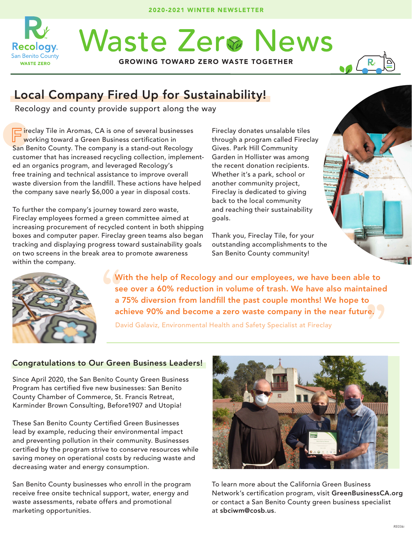

# **Waste Zer® News**

GROWING TOWARD ZERO WASTE TOGETHER



## Local Company Fired Up for Sustainability!

Recology and county provide support along the way

F ireclay Tile in Aromas, CA is one of several businesses working toward a Green Business certification in San Benito County. The company is a stand-out Recology customer that has increased recycling collection, implemented an organics program, and leveraged Recology's free training and technical assistance to improve overall waste diversion from the landfill. These actions have helped the company save nearly \$6,000 a year in disposal costs.

To further the company's journey toward zero waste, Fireclay employees formed a green committee aimed at increasing procurement of recycled content in both shipping boxes and computer paper. Fireclay green teams also began tracking and displaying progress toward sustainability goals on two screens in the break area to promote awareness within the company.

Fireclay donates unsalable tiles through a program called Fireclay Gives. Park Hill Community Garden in Hollister was among the recent donation recipients. Whether it's a park, school or another community project, Fireclay is dedicated to giving back to the local community and reaching their sustainability goals.

Thank you, Fireclay Tile, for your outstanding accomplishments to the San Benito County community!



re. ) " With the help of Recology and our employees, we have been able to see over a 60% reduction in volume of trash. We have also maintained a 75% diversion from landfill the past couple months! We hope to achieve 90% and become a zero waste company in the near future.

David Galaviz, Environmental Health and Safety Specialist at Fireclay

#### Congratulations to Our Green Business Leaders!

Since April 2020, the San Benito County Green Business Program has certified five new businesses: San Benito County Chamber of Commerce, St. Francis Retreat, Karminder Brown Consulting, Before1907 and Utopia!

These San Benito County Certified Green Businesses lead by example, reducing their environmental impact and preventing pollution in their community. Businesses certified by the program strive to conserve resources while saving money on operational costs by reducing waste and decreasing water and energy consumption.

San Benito County businesses who enroll in the program receive free onsite technical support, water, energy and waste assessments, rebate offers and promotional marketing opportunities.



To learn more about the California Green Business Network's certification program, visit GreenBusinessCA.org or contact a San Benito County green business specialist at sbciwm@cosb.us.